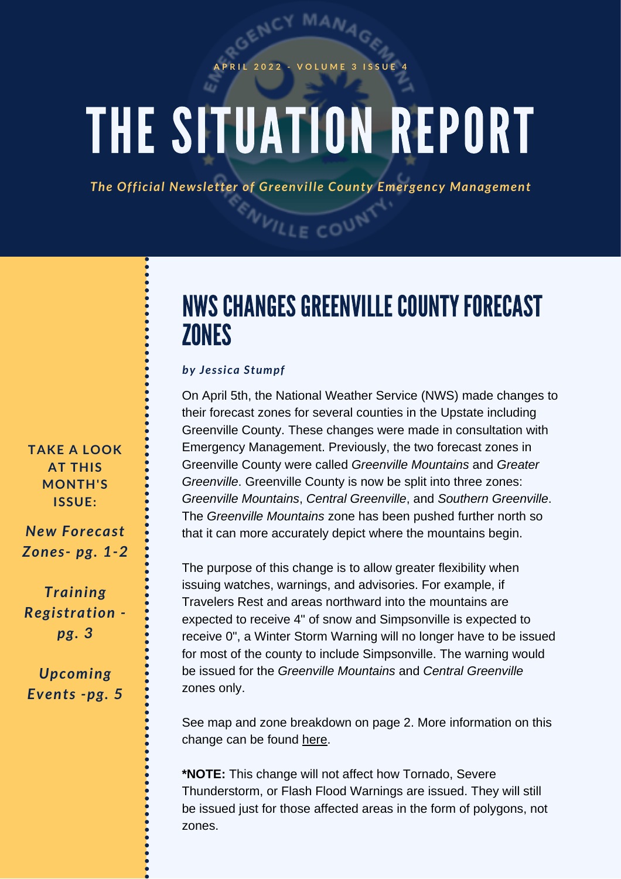### **A P R I L 2 0 2 2 - V O L U M E 3 I S S U E 4**

# *b <i>REPORT*

*The Official Newsletter of Greenville County Emergency Management*

**NVILLE COUNT** 

# NWS CHANGES GREENVILLE COUNTY FORECAST **ZONES**

### *by Jessica Stumpf*

On April 5th, the National Weather Service (NWS) made changes to their forecast zones for several counties in the Upstate including Greenville County. These changes were made in consultation with Emergency Management. Previously, the two forecast zones in Greenville County were called *Greenville Mountains* and *Greater Greenville*. Greenville County is now be split into three zones: *Greenville Mountains*, *Central Greenville*, and *Southern Greenville*. The *Greenville Mountains* zone has been pushed further north so that it can more accurately depict where the mountains begin.

The purpose of this change is to allow greater flexibility when issuing watches, warnings, and advisories. For example, if Travelers Rest and areas northward into the mountains are expected to receive 4" of snow and Simpsonville is expected to receive 0", a Winter Storm Warning will no longer have to be issued for most of the county to include Simpsonville. The warning would be issued for the *Greenville Mountains* and *Central Greenville* zones only.

See map and zone breakdown on page 2. More information on this change can be found [here.](https://www.weather.gov/gsp/newGSPZones?fbclid=IwAR2oZJbBhIEGdgDizKYuKUx9qzNjtXR5uJR59EDl5xnTx7mvYZxDaLfxQsk)

**\*NOTE:** This change will not affect how Tornado, Severe Thunderstorm, or Flash Flood Warnings are issued. They will still be issued just for those affected areas in the form of polygons, not zones.

**TAKE A LOOK AT THIS MONTH'S ISSUE:**

*New Forecast Zones- pg. 1-2*

*Training Registration pg. 3*

*Upcoming Events -pg. 5*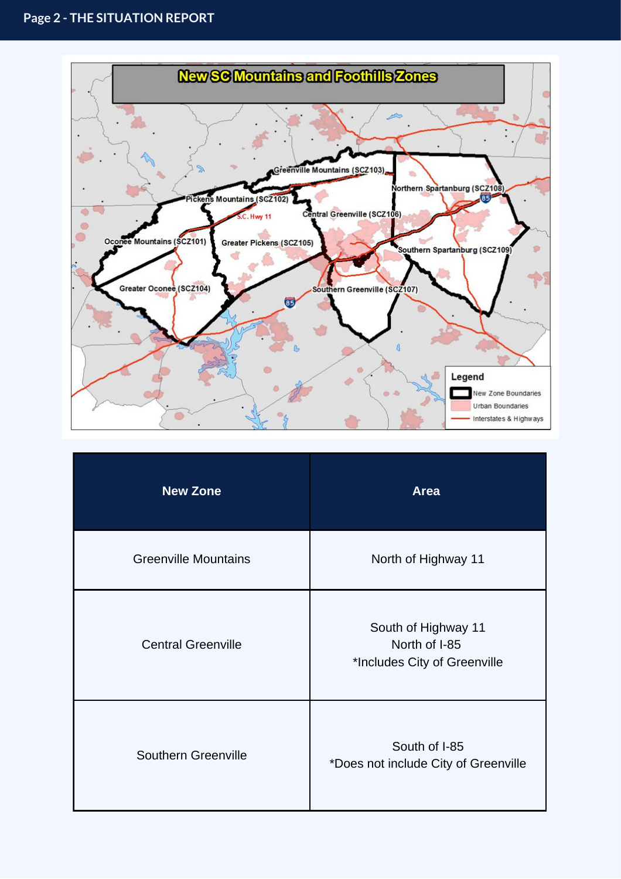

| <b>New Zone</b>             | <b>Area</b>                                                          |
|-----------------------------|----------------------------------------------------------------------|
| <b>Greenville Mountains</b> | North of Highway 11                                                  |
| <b>Central Greenville</b>   | South of Highway 11<br>North of I-85<br>*Includes City of Greenville |
| Southern Greenville         | South of I-85<br>*Does not include City of Greenville                |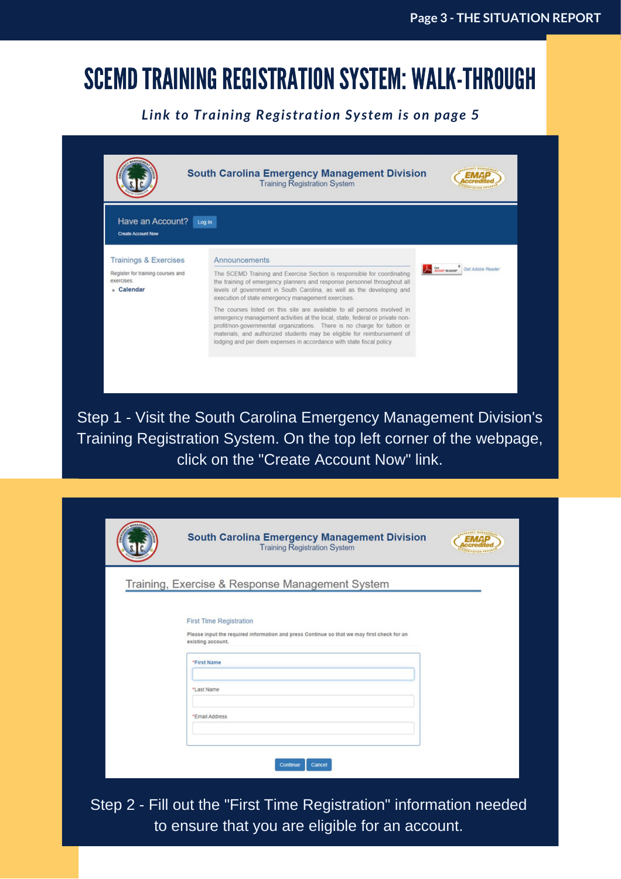## SCEMD TRAINING REGISTRATION SYSTEM: WALK-THROUGH

## *Link to Training Registration System is on page 5*

|                                                               | <b>South Carolina Emergency Management Division</b><br><b>Training Registration System</b>                                                                                                                                                                                                                                                                                               |                  |
|---------------------------------------------------------------|------------------------------------------------------------------------------------------------------------------------------------------------------------------------------------------------------------------------------------------------------------------------------------------------------------------------------------------------------------------------------------------|------------------|
|                                                               |                                                                                                                                                                                                                                                                                                                                                                                          |                  |
| Have an Account?                                              | Log In                                                                                                                                                                                                                                                                                                                                                                                   |                  |
| <b>Create Account Now</b>                                     |                                                                                                                                                                                                                                                                                                                                                                                          |                  |
| <b>Trainings &amp; Exercises</b>                              | Announcements                                                                                                                                                                                                                                                                                                                                                                            |                  |
| Register for training courses and<br>exercises.<br>» Calendar | The SCEMD Training and Exercise Section is responsible for coordinating<br>the training of emergency planners and response personnel throughout all<br>levels of government in South Carolina, as well as the developing and<br>execution of state emergency management exercises.                                                                                                       | Get Adobe Reader |
|                                                               | The courses listed on this site are available to all persons involved in<br>emergency management activities at the local, state, federal or private non-<br>profit/non-governmental organizations. There is no charge for tuition or<br>materials, and authorized students may be eligible for reimbursement of<br>lodging and per diem expenses in accordance with state fiscal policy. |                  |

Step 1 - Visit the South Carolina Emergency Management Division's Training Registration System. On the top left corner of the webpage, click on the "Create Account Now" link.

| <b>LABRET MANAGE</b><br><b>South Carolina Emergency Management Division</b><br><b>Training Registration System</b>                                                             |
|--------------------------------------------------------------------------------------------------------------------------------------------------------------------------------|
| Training, Exercise & Response Management System                                                                                                                                |
| <b>First Time Registration</b><br>Please input the required information and press Continue so that we may first check for an<br>existing account.<br>*First Name<br>*Last Name |
| *Email Address<br>Cancel<br>Continue                                                                                                                                           |

Step 2 - Fill out the "First Time Registration" information needed to ensure that you are eligible for an account.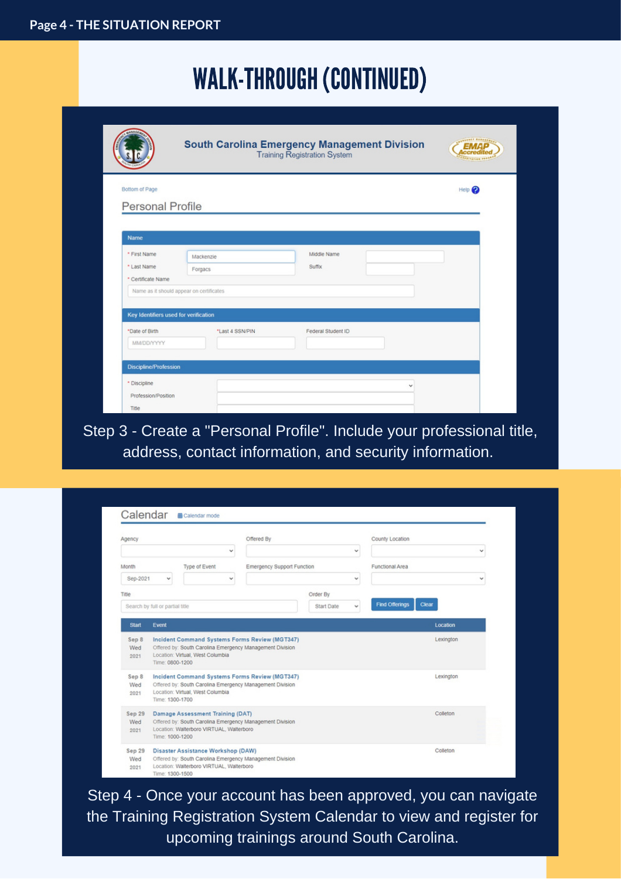## WALK-THROUGH (CONTINUED)

|                                          | <b>South Carolina Emergency Management Division</b><br><b>Training Registration System</b> |                    |                          |
|------------------------------------------|--------------------------------------------------------------------------------------------|--------------------|--------------------------|
| Bottom of Page                           |                                                                                            |                    | Help 2                   |
| <b>Personal Profile</b>                  |                                                                                            |                    |                          |
|                                          |                                                                                            |                    |                          |
| Name                                     |                                                                                            |                    |                          |
| * First Name                             | Mackenzie                                                                                  | Middle Name        |                          |
| * Last Name                              | Forgacs                                                                                    | Suffix             |                          |
| * Certificate Name                       |                                                                                            |                    |                          |
| Name as it should appear on certificates |                                                                                            |                    |                          |
| Key Identifiers used for verification    |                                                                                            |                    |                          |
| *Date of Birth                           | *Last 4 SSN/PIN                                                                            | Federal Student ID |                          |
| <b>MM/DD/YYYY</b>                        |                                                                                            |                    |                          |
| <b>Discipline/Profession</b>             |                                                                                            |                    |                          |
| * Discipline                             |                                                                                            |                    | $\overline{\phantom{a}}$ |
| Profession/Position                      |                                                                                            |                    |                          |
|                                          |                                                                                            |                    |                          |

Step 3 - Create a "Personal Profile". Include your professional title, address, contact information, and security information.

| Agency                |                                                                                                                                                                   |                                  | Offered By                                                                                                 |            |          | County Location                |   |
|-----------------------|-------------------------------------------------------------------------------------------------------------------------------------------------------------------|----------------------------------|------------------------------------------------------------------------------------------------------------|------------|----------|--------------------------------|---|
|                       |                                                                                                                                                                   |                                  | v                                                                                                          |            | v        |                                | v |
| Month                 |                                                                                                                                                                   | Type of Event                    | Emergency Support Function                                                                                 |            |          | Functional Area                |   |
| Sep-2021              | v                                                                                                                                                                 |                                  | v                                                                                                          |            | v        |                                | v |
| Title                 |                                                                                                                                                                   |                                  |                                                                                                            | Order By   |          |                                |   |
|                       | Search by full or partial title                                                                                                                                   |                                  |                                                                                                            | Start Date | v        | <b>Find Offerings</b><br>Clear |   |
| <b>Start</b>          | Event                                                                                                                                                             |                                  |                                                                                                            |            |          | Location                       |   |
| Sep 8<br>Wed<br>2021  | Time: 0800-1200                                                                                                                                                   | Location: Virtual, West Columbia | Incident Command Systems Forms Review (MGT347)<br>Offered by: South Carolina Emergency Management Division |            |          | Lexington                      |   |
| Sep 8<br>Wed<br>2021  | Incident Command Systems Forms Review (MGT347)<br>Offered by: South Carolina Emergency Management Division<br>Location: Virtual, West Columbia<br>Time: 1300-1700 |                                  | Lexington                                                                                                  |            |          |                                |   |
| Sep 29<br>Wed<br>2021 | Damage Assessment Training (DAT)<br>Offered by: South Carolina Emergency Management Division<br>Location: Walterboro VIRTUAL, Walterboro<br>Time: 1000-1200       |                                  |                                                                                                            |            | Colleton |                                |   |
| Sep 29<br>Wed<br>2021 | Disaster Assistance Workshop (DAW)<br>Offered by: South Carolina Emergency Management Division<br>Location: Walterboro VIRTUAL, Walterboro<br>Time: 1300-1500     |                                  |                                                                                                            |            |          | Colleton                       |   |

Step 4 - Once your account has been approved, you can navigate the Training Registration System Calendar to view and register for upcoming trainings around South Carolina.